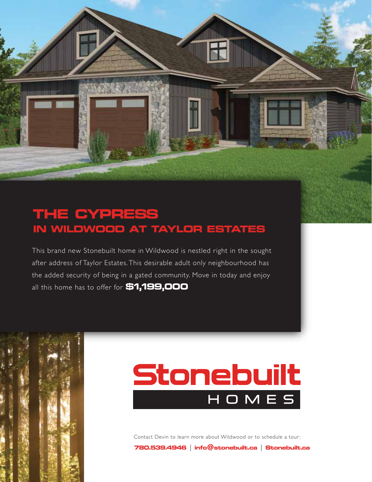## **THE CYPRESS IN WILDWOOD AT TAYLOR ESTATES**

This brand new Stonebuilt home in Wildwood is nestled right in the sought after address of Taylor Estates. This desirable adult only neighbourhood has the added security of being in a gated community. Move in today and enjoy all this home has to offer for **\$1,199,000**



Contact Devin to learn more about Wildwood or to schedule a tour:

**780.539.4946 | info@stonebuilt.ca | Stonebuilt.ca**